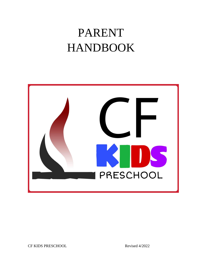# PARENT HANDBOOK

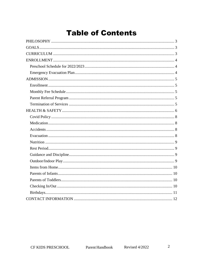#### **Table of Contents**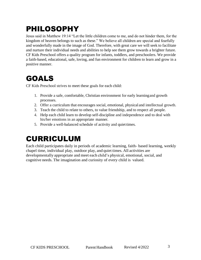# <span id="page-2-0"></span>PHILOSOPHY

Jesus said in Matthew 19:14 "Let the little children come to me, and do not hinder them, for the kingdom of heaven belongs to such as these." We believe all children are special and fearfully and wonderfully made in the image of God. Therefore, with great care we will seek to facilitate and nurture their individual needs and abilities to help see them grow towards a brighter future. CF Kids Preschool offers a quality program for infants, toddlers, and preschoolers. We provide a faith-based, educational, safe, loving, and fun environment for children to learn and grow in a positive manner.

#### <span id="page-2-1"></span>GOALS

CF Kids Preschool strives to meet these goals for each child:

- 1. Provide a safe, comfortable, Christian environment for early learningand growth processes.
- 2. Offer a curriculum that encourages social, emotional, physical and intellectual growth.
- 3. Teach the child to relate to others, to value friendship, and to respect all people.
- 4. Help each child learn to develop self-discipline and independence and to deal with his/her emotions in an appropriate manner.
- 5. Provide a well-balanced schedule of activity and quiet times.

# <span id="page-2-2"></span>CURRICULUM

Each child participates daily in periods of academic learning, faith- based learning, weekly chapel time, individual play, outdoor play, and quiet times. All activities are developmentally appropriate and meet each child's physical, emotional, social, and cognitive needs. The imagination and curiosity of every child is valued.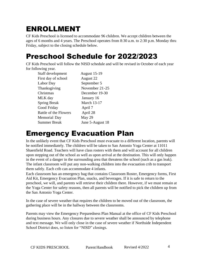#### <span id="page-3-0"></span>ENROLLMENT

CF Kids Preschool is licensed to accommodate 96 children. We accept children between the ages of 6 months and 4 years. The Preschool operates from 8:30 a.m. to 2:30 p.m. Monday thru Friday, subject to the closing schedule below.

#### <span id="page-3-1"></span>Preschool Schedule for 2022/2023

CF Kids Preschool will follow the NISD schedule and will be revised in October of each year for following year.

| Staff development            | <b>August 15-19</b> |
|------------------------------|---------------------|
| First day of school          | August 22           |
| Labor Day                    | September 5         |
| Thanksgiving                 | November 21-25      |
| Christmas                    | December 19-30      |
| MLK day                      | January 16          |
| <b>Spring Break</b>          | <b>March 13-17</b>  |
| Good Friday                  | April 7             |
| <b>Battle of the Flowers</b> | April 28            |
| Memorial Day                 | May 29              |
| <b>Summer Break</b>          | June 5-August 18    |

#### <span id="page-3-2"></span>Emergency Evacuation Plan

In the unlikely event that CF Kids Preschool must evacuate to a different location, parents will be notified immediately. The children will be taken to San Antonio Yoga Center at 11011 Shaenfield Road. Teachers will have class rosters with them and will account for all children upon stepping out of the school as well as upon arrival at the destination. This will only happen in the event of a danger in the surrounding area that threatens the school (such as a gas leak). The infant classroom will put any non-walking children into the evacuation crib to transport them safely. Each crib can accommodate 4 infants.

Each classroom has an emergency bag that contains Classroom Roster, Emergency forms, First Aid Kit, Emergency Evacuation Plan, snacks, and beverages. If it is safe to return to the preschool, we will, and parents will retrieve their children there. However, if we must remain at the Yoga Center for safety reasons, then all parents will be notified to pick the children up from the San Antonio Yoga Center.

In the case of severe weather that requires the children to be moved out of the classroom, the gathering place will be in the hallway between the classrooms.

Parents may view the Emergency Preparedness Plan Manual at the office of CF Kids Preschool during business hours. Any closures due to severe weather shall be announced by telephone and text message. We will only close in the case of severe weather if Northside Independent School District does, so listen for "NISD" closings.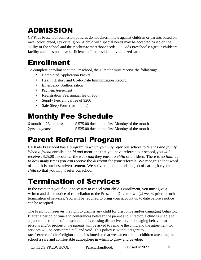# <span id="page-4-0"></span>ADMISSION

CF Kids Preschool admission policies do not discriminate against children or parents based on race, color, creed, sex or religion. A child with special needs may be accepted based on the ability of the school and the teachers to meet those needs. CF Kids Preschool is a group childcare facility and does not have sufficient staff to provide individualized care.

#### <span id="page-4-1"></span>Enrollment

To complete enrollment at the Preschool, the Director must receive the following:

- Completed Application Packet
- Health History and Up-to-Date Immunization Record
- Emergency Authorization
- Payment Agreement
- Registration Fee, annual fee of \$50
- Supply Fee, annual fee of \$200
- Safe Sleep Form (for Infants)

# <span id="page-4-2"></span>Monthly Fee Schedule

6 months - 23 months: \$ 575.00 due on the first Monday of the month 2yrs - 4 years: \$ 525.00 due on the first Monday of the month

# <span id="page-4-3"></span>Parent Referral Program

CF Kids Preschool has a program *in which you may refer our* school *to friends and family. When a friend* enrolls a *child and* mentions that you have referred our school, you*will* receive a\$25.00 discount *in* the week*that* they enroll *a child* or children. There *is* no *limit as to how many* times *you can* receive the *discount* for *your* referrals. We recognize that word of mouth is our best advertisement. We strive to do an excellent job of caring for your *child* so that you *might* refer ourschool.

# <span id="page-4-4"></span>Termination of Services

In the event that you find it necessary to cancel your child's enrollment, you must give a written and dated notice of cancellation to the Preschool Director two (2) weeks prior to such termination of services. You will be required to bring your account up to date before a notice can be accepted.

The Preschool reserves the right to dismiss any child for disruptive and/or damaging behavior. If after a period of time and conferences between the parent and Director, a child is unable to adjust to the routine of the school and is causing disruptive and/or damaging behavior to persons and/or property, the parents will be asked to remove the child and the agreement for services will be considered null and void. This policy is without regard to race/sex/creed/color/religion and is instituted so that we can ensure the children attending the school a safe and comfortable atmosphere in which to grow and develop.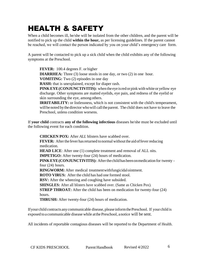# <span id="page-5-0"></span>HEALTH & SAFETY

When a child becomes ill, he/she will be isolated from the other children, and the parent will be notified to pick up the child **within the hour,** as per licensing guidelines. If the parent cannot be reached, we will contact the person indicated by you on your child's emergency care form.

A parent will be contacted to pick up a sick child when the child exhibits any of the following symptoms at the Preschool.

**FEVER:** 100.4 degrees F. or higher

**DIARRHEA:** Three (3) loose stools in one day, or two (2) in one hour.

**VOMITING:** Two (2) episodes in one day

**RASH:** that is unexplained, except for diaper rash.

**PINK EYE(CONJUNCTIVITIS):** when the eye isred orpink withwhite or yellow eye discharge. Other symptoms are matted eyelids, eye pain, and redness of the eyelid or skin surrounding the eye, among others.

**IRRITABILITY:** or listlessness, which is not consistent with the child's temperament, will be noted by the director who will call the parent. The child does not have to leave the Preschool, unless condition worsens.

If **your child** contracts **any of the following infectious** diseases he/she must be excluded until the following event for each condition.

**CHICKEN POX:** After *ALL* blisters have scabbed over.

**FEVER:** After the fever has returned to normal without the aid of fever reducing medication.

**HEAD LICE:** After one (1) complete treatment and removal of ALL nits.

**IMPETIGO:** After twenty-four (24) hours of medication.

**PINKEYE(CONJUNCTIVITIS):** Afterthechildhasbeenonmedication for twenty four (24) hours.

**RINGWORM:** After medical treatment with fungicidal ointment.

**ROTO VIRUS:** After the child has had one formed stool.

**RSV:** After the wheezing and coughing have subsided.

**SHINGLES:** After all blisters have scabbed over. (Same as Chicken Pox).

**STREP THROAT:** After the child has been on medication for twenty-four (24) hours.

**THRUSH:** After twenty-four (24) hours of medication.

Ifyour child contracts anycommunicable disease, please informthePreschool. If your child is exposed to a communicable disease while atthe Preschool, anotice will be sent.

All incidents of reportable contagious diseases will be reported to the Department of Health.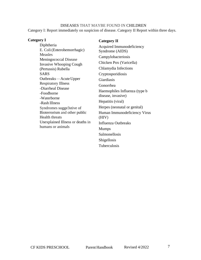#### DISEASES THAT MAYBE FOUND IN CHILDREN

Category I: Report immediately on suspicion of disease. Category II Report within three days.

Tuberculosis

| Category I                                                                                                                                                                                                                                                                                                                                                                                  | <b>Category II</b>                                                                                                                                                                                                                                                                                                                 |
|---------------------------------------------------------------------------------------------------------------------------------------------------------------------------------------------------------------------------------------------------------------------------------------------------------------------------------------------------------------------------------------------|------------------------------------------------------------------------------------------------------------------------------------------------------------------------------------------------------------------------------------------------------------------------------------------------------------------------------------|
| Diphtheria<br>E. Coli (Enterohemorrhagic)                                                                                                                                                                                                                                                                                                                                                   | Acquired Immunodeficiency<br>Syndrome (AIDS)                                                                                                                                                                                                                                                                                       |
| <b>Measles</b><br>Meningococcal Disease<br><b>Invasive Whooping Cough</b><br>(Pertussis) Rubella<br><b>SARS</b><br>Outbreaks — Acute Upper<br><b>Respiratory Illness</b><br>-Diarrheal Disease<br>-Foodborne<br>-Waterborne<br>-Rash Illness<br>Syndromes sugge3stive of<br>Bioterrorism and other public<br><b>Health threats</b><br>Unexplained Illness or deaths in<br>humans or animals | Campylobacteriosis<br>Chicken Pox (Varicella)<br>Chlamydia Infections<br>Cryptosporidiosis<br>Giardiasis<br>Gonorrhea<br>Haemophiles Influenza (type b<br>disease, invasive)<br>Hepatitis (viral)<br>Herpes (neonatal or genital)<br>Human Immunodeficiency Virus<br>(HIV)<br>Influenza Outbreaks<br><b>Mumps</b><br>Salmonellosis |
|                                                                                                                                                                                                                                                                                                                                                                                             | Shigellosis                                                                                                                                                                                                                                                                                                                        |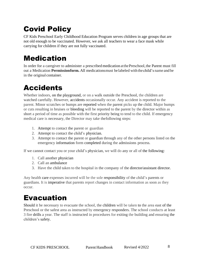# <span id="page-7-0"></span>Covid Policy

CF Kids Preschool Early Childhood Education Program serves children in age groups that are not old enough to be vaccinated. However, we ask all teachers to wear a face mask while carrying for children if they are not fully vaccinated.

#### <span id="page-7-1"></span>Medication

In order for a caregiver to administer a prescribed medication at the Preschool, the Parent must fill out a Medication **Permissionform.** All medicationsmust belabeled withthe child's name and be in the original container.

### <span id="page-7-2"></span>Accidents

Whether indoors, on the playground, or on a walk outside the Preschool, the children are watched carefully. However, accidents occasionally occur. Any accident is reported to the parent. Minor scratches or bumps are reported when the parent picks up the child. Major bumps or cuts resulting in bruises or bleeding will be reported to the parent by the director within as short a period of time as possible with the first priority being to tend to the child. If emergency medical care is necessary, the Director may take thefollowing steps:

- 1. Attempt to contact the parent or guardian
- 2. Attempt to contact the child's physician.
- 3. Attempt to contact the parent or guardian through any of the other persons listed on the emergency information form completed during the admissions process.

If we cannot contact you or your child's physician, we will do any or all of the following:

- 1. Call another physician
- 2. Call an ambulance
- 3. Have the child taken to the hospital in the company of the director/assistant director.

Any health care expenses incurred will be the sole responsibility of the child's parents or guardians. It is imperative that parents report changes in contact information as soon as they occur.

#### <span id="page-7-3"></span>Evacuation

Should it be necessary to evacuate the school, the children will be taken to the area east of the Preschool or the safest area as instructed by emergency responders. The school conducts at least 3 fire drills a year. The staff is instructed in procedures for exiting the building and ensuring the children's safety.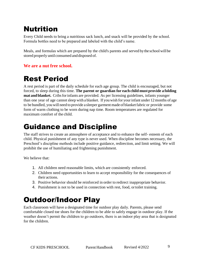#### <span id="page-8-0"></span>Nutrition

Every Child needs to bring a nutritious sack lunch, and snack will be provided by the school. Formula bottles need to be prepared and labeled with the child's name.

Meals, and formulas which are prepared by the child's parents and served by the school will be stored properly until consumed and disposed of.

#### **We are a nut free school.**

#### <span id="page-8-1"></span>Rest Period

A rest period is part of the daily schedule for each age group. The child is encouraged, but not forced, to sleep during this time. **The parent or guardian for each child mustprovide a folding mat and blanket.** Cribsforinfants are provided. As per licensing guidelines, infants younger than one year of age cannot sleep with a blanket. If you wish for your infant under 12 months of age to be bundled, you will need to provide a sleeper garment made of blanket fabric or provide some form of warm clothing to be worn during nap time. Room temperatures are regulated for maximum comfort of the child.

#### <span id="page-8-2"></span>Guidance and Discipline

The staff strives to create an atmosphere of acceptance and to enhance the self- esteem of each child. Physical punishment of any type is never used. When discipline becomes necessary, the Preschool's discipline methods include positive guidance, redirection, and limit setting. We will prohibit the use of humiliating and frightening punishment.

We believe that:

- 1. All children need reasonable limits, which are consistently enforced.
- 2. Children need opportunities to learn to accept responsibility for the consequences of their actions.
- 3. Positive behavior should be reinforced in order to redirect inappropriate behavior.
- 4. Punishment is not to be used in connection with rest, food, ortoilet training.

#### <span id="page-8-3"></span>Outdoor/Indoor Play

Each classroom will have a designated time for outdoor play daily. Parents, please send comfortable closed toe shoes for the children to be able to safely engage in outdoor play. If the weather doesn't permit the children to go outdoors, there is an indoor play area that is designated for the children.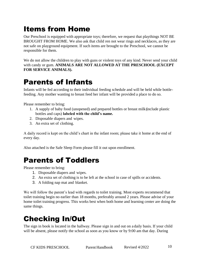#### <span id="page-9-0"></span>Items from Home

Our Preschool is equipped with appropriate toys; therefore, we request that playthings NOT BE BROUGHT FROM HOME. We also ask that child ren not wear rings and necklaces, as they are not safe on playground equipment. If such items are brought to the Preschool, we cannot be responsible for them.

We do not allow the children to play with guns or violent toys of any kind. Never send your child with candy or gum. **ANIMALS ARE NOT ALLOWED AT THE PRESCHOOL (EXCEPT FOR SERVICE ANIMALS).**

#### <span id="page-9-1"></span>Parents of Infants

Infants will be fed according to their individual feeding schedule and will be held while bottlefeeding. Any mother wanting to breast feed her infant will be provided a place to do so.

Please remember to bring:

- 1. A supply of baby food (unopened) and prepared bottles or breast milk(include plastic bottles and caps) **labeled with the child's name.**
- 2. Disposable diapers and wipes.
- 3. An extra set of clothing.

A daily record is kept on the child's chart in the infant room; please take it home at the end of every day.

Also attached is the Safe Sleep Form please fill it out upon enrollment.

#### <span id="page-9-2"></span>Parents of Toddlers

Please remember to bring:

- 1. Disposable diapers and wipes.
- 2. An extra set of clothing is to be left at the school in case of spills or accidents.
- 3. A folding nap mat and blanket.

We will follow the parent's lead with regards to toilet training. Most experts recommend that toilet training begin no earlier than 18 months, preferably around 2 years. Please advise of your home toilet training progress. This works best when both home and learning center are doing the same things.

#### <span id="page-9-3"></span>Checking In/Out

The sign in book is located in the hallway. Please sign in and out on a daily basis. If your child will be absent, please notify the school as soon as you know or by 9:00 am that day. During

CF KIDS PRESCHOOL Parent Handbook Revised 4/2022 10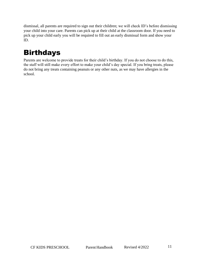dismissal, all parents are required to sign out their children; we will check ID's before dismissing your child into your care. Parents can pick up at their child at the classroom door. If you need to pick up your child early you will be required to fill out an early dismissal form and show your ID.

# <span id="page-10-0"></span>Birthdays

Parents are welcome to provide treats for their child's birthday. If you do not choose to do this, the staff will still make every effort to make your child's day special. If you bring treats, please do not bring any treats containing peanuts or any other nuts, as we may have allergies in the school.